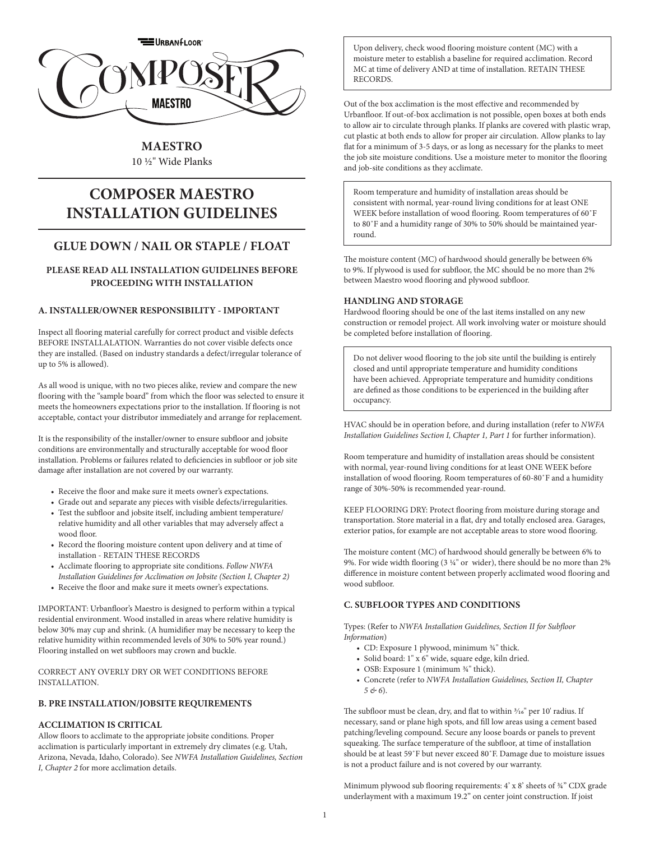

# **MAESTRO**

10 ½" Wide Planks

# **COMPOSER MAESTRO INSTALLATION GUIDELINES**

# **GLUE DOWN / NAIL OR STAPLE / FLOAT**

# **PLEASE READ ALL INSTALLATION GUIDELINES BEFORE PROCEEDING WITH INSTALLATION**

# **A. INSTALLER/OWNER RESPONSIBILITY - IMPORTANT**

Inspect all flooring material carefully for correct product and visible defects BEFORE INSTALLALATION. Warranties do not cover visible defects once they are installed. (Based on industry standards a defect/irregular tolerance of up to 5% is allowed).

As all wood is unique, with no two pieces alike, review and compare the new flooring with the "sample board" from which the floor was selected to ensure it meets the homeowners expectations prior to the installation. If flooring is not acceptable, contact your distributor immediately and arrange for replacement.

It is the responsibility of the installer/owner to ensure subfloor and jobsite conditions are environmentally and structurally acceptable for wood floor installation. Problems or failures related to deficiencies in subfloor or job site damage after installation are not covered by our warranty.

- Receive the floor and make sure it meets owner's expectations.
- Grade out and separate any pieces with visible defects/irregularities. • Test the subfloor and jobsite itself, including ambient temperature/ relative humidity and all other variables that may adversely affect a
- wood floor. • Record the flooring moisture content upon delivery and at time of installation - RETAIN THESE RECORDS
- Acclimate flooring to appropriate site conditions. *Follow NWFA Installation Guidelines for Acclimation on Jobsite (Section I, Chapter 2)*
- Receive the floor and make sure it meets owner's expectations.

IMPORTANT: Urbanfloor's Maestro is designed to perform within a typical residential environment. Wood installed in areas where relative humidity is below 30% may cup and shrink. (A humidifier may be necessary to keep the relative humidity within recommended levels of 30% to 50% year round.) Flooring installed on wet subfloors may crown and buckle.

CORRECT ANY OVERLY DRY OR WET CONDITIONS BEFORE INSTALLATION.

# **B. PRE INSTALLATION/JOBSITE REQUIREMENTS**

# **ACCLIMATION IS CRITICAL**

Allow floors to acclimate to the appropriate jobsite conditions. Proper acclimation is particularly important in extremely dry climates (e.g. Utah, Arizona, Nevada, Idaho, Colorado). See *NWFA Installation Guidelines, Section I, Chapter 2* for more acclimation details.

Upon delivery, check wood flooring moisture content (MC) with a moisture meter to establish a baseline for required acclimation. Record MC at time of delivery AND at time of installation. RETAIN THESE **RECORDS** 

Out of the box acclimation is the most effective and recommended by Urbanfloor. If out-of-box acclimation is not possible, open boxes at both ends to allow air to circulate through planks. If planks are covered with plastic wrap, cut plastic at both ends to allow for proper air circulation. Allow planks to lay flat for a minimum of 3-5 days, or as long as necessary for the planks to meet the job site moisture conditions. Use a moisture meter to monitor the flooring and job-site conditions as they acclimate.

Room temperature and humidity of installation areas should be consistent with normal, year-round living conditions for at least ONE WEEK before installation of wood flooring. Room temperatures of 60˚F to 80˚F and a humidity range of 30% to 50% should be maintained yearround.

The moisture content (MC) of hardwood should generally be between 6% to 9%. If plywood is used for subfloor, the MC should be no more than 2% between Maestro wood flooring and plywood subfloor.

# **HANDLING AND STORAGE**

Hardwood flooring should be one of the last items installed on any new construction or remodel project. All work involving water or moisture should be completed before installation of flooring.

Do not deliver wood flooring to the job site until the building is entirely closed and until appropriate temperature and humidity conditions have been achieved. Appropriate temperature and humidity conditions are defined as those conditions to be experienced in the building after occupancy.

HVAC should be in operation before, and during installation (refer to *NWFA Installation Guidelines Section I, Chapter 1, Part 1* for further information).

Room temperature and humidity of installation areas should be consistent with normal, year-round living conditions for at least ONE WEEK before installation of wood flooring. Room temperatures of 60-80˚F and a humidity range of 30%-50% is recommended year-round.

KEEP FLOORING DRY: Protect flooring from moisture during storage and transportation. Store material in a flat, dry and totally enclosed area. Garages, exterior patios, for example are not acceptable areas to store wood flooring.

The moisture content (MC) of hardwood should generally be between 6% to 9%. For wide width flooring (3  $\frac{1}{4}$ " or wider), there should be no more than 2% difference in moisture content between properly acclimated wood flooring and wood subfloor.

# **C. SUBFLOOR TYPES AND CONDITIONS**

Types: (Refer to *NWFA Installation Guidelines, Section II for Subfloor Information*)

- CD: Exposure 1 plywood, minimum 34" thick.
- Solid board: 1" x 6" wide, square edge, kiln dried.
- OSB: Exposure 1 (minimum  $\frac{3}{4}$ " thick).
- Concrete (refer to *NWFA Installation Guidelines, Section II, Chapter 5 & 6*).

The subfloor must be clean, dry, and flat to within  $\frac{3}{16}$ " per 10' radius. If necessary, sand or plane high spots, and fill low areas using a cement based patching/leveling compound. Secure any loose boards or panels to prevent squeaking. The surface temperature of the subfloor, at time of installation should be at least 59˚F but never exceed 80˚F. Damage due to moisture issues is not a product failure and is not covered by our warranty.

Minimum plywood sub flooring requirements: 4' x 8' sheets of ¾" CDX grade underlayment with a maximum 19.2" on center joint construction. If joist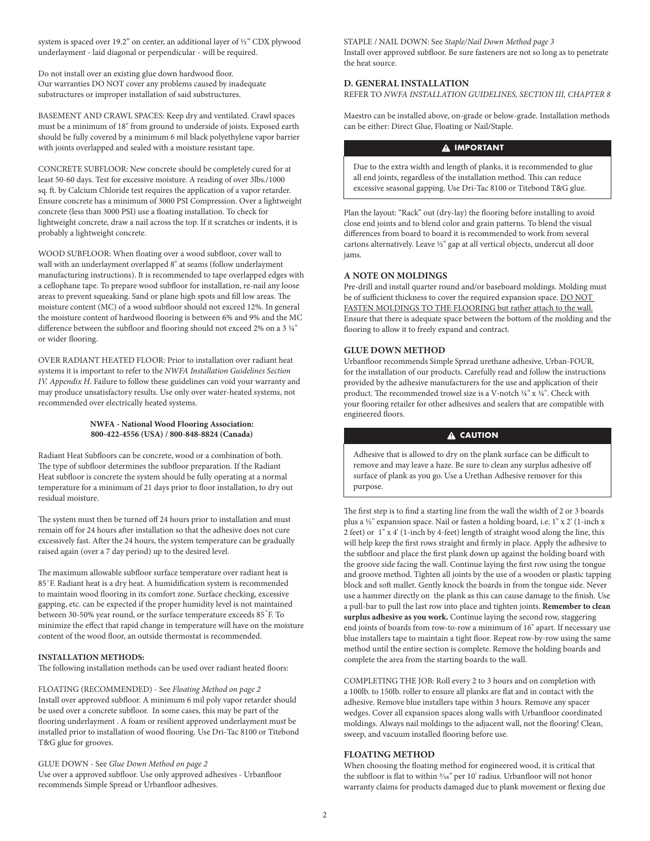system is spaced over 19.2" on center, an additional layer of ½" CDX plywood underlayment - laid diagonal or perpendicular - will be required.

Do not install over an existing glue down hardwood floor. Our warranties DO NOT cover any problems caused by inadequate substructures or improper installation of said substructures.

BASEMENT AND CRAWL SPACES: Keep dry and ventilated. Crawl spaces must be a minimum of 18" from ground to underside of joists. Exposed earth should be fully covered by a minimum 6 mil black polyethylene vapor barrier with joints overlapped and sealed with a moisture resistant tape.

CONCRETE SUBFLOOR: New concrete should be completely cured for at least 50-60 days. Test for excessive moisture. A reading of over 3lbs./1000 sq. ft. by Calcium Chloride test requires the application of a vapor retarder. Ensure concrete has a minimum of 3000 PSI Compression. Over a lightweight concrete (less than 3000 PSI) use a floating installation. To check for lightweight concrete, draw a nail across the top. If it scratches or indents, it is probably a lightweight concrete.

WOOD SUBFLOOR: When floating over a wood subfloor, cover wall to wall with an underlayment overlapped 8" at seams (follow underlayment manufacturing instructions). It is recommended to tape overlapped edges with a cellophane tape. To prepare wood subfloor for installation, re-nail any loose areas to prevent squeaking. Sand or plane high spots and fill low areas. The moisture content (MC) of a wood subfloor should not exceed 12%. In general the moisture content of hardwood flooring is between 6% and 9% and the MC difference between the subfloor and flooring should not exceed 2% on a 3  $1/4$ " or wider flooring.

OVER RADIANT HEATED FLOOR: Prior to installation over radiant heat systems it is important to refer to the *NWFA Installation Guidelines Section IV. Appendix H*. Failure to follow these guidelines can void your warranty and may produce unsatisfactory results. Use only over water-heated systems, not recommended over electrically heated systems.

#### **NWFA - National Wood Flooring Association: 800-422-4556 (USA) / 800-848-8824 (Canada)**

Radiant Heat Subfloors can be concrete, wood or a combination of both. The type of subfloor determines the subfloor preparation. If the Radiant Heat subfloor is concrete the system should be fully operating at a normal temperature for a minimum of 21 days prior to floor installation, to dry out residual moisture.

The system must then be turned off 24 hours prior to installation and must remain off for 24 hours after installation so that the adhesive does not cure excessively fast. After the 24 hours, the system temperature can be gradually raised again (over a 7 day period) up to the desired level.

The maximum allowable subfloor surface temperature over radiant heat is 85˚F. Radiant heat is a dry heat. A humidification system is recommended to maintain wood flooring in its comfort zone. Surface checking, excessive gapping, etc. can be expected if the proper humidity level is not maintained between 30-50% year round, or the surface temperature exceeds 85 F. To minimize the effect that rapid change in temperature will have on the moisture content of the wood floor, an outside thermostat is recommended.

## **INSTALLATION METHODS:**

The following installation methods can be used over radiant heated floors:

FLOATING (RECOMMENDED) - See *Floating Method on page 2* Install over approved subfloor. A minimum 6 mil poly vapor retarder should be used over a concrete subfloor. In some cases, this may be part of the flooring underlayment . A foam or resilient approved underlayment must be installed prior to installation of wood flooring. Use Dri-Tac 8100 or Titebond T&G glue for grooves.

GLUE DOWN - See *Glue Down Method on page 2* Use over a approved subfloor. Use only approved adhesives - Urbanfloor recommends Simple Spread or Urbanfloor adhesives.

STAPLE / NAIL DOWN: See *Staple/Nail Down Method page 3* Install over approved subfloor. Be sure fasteners are not so long as to penetrate the heat source.

#### **D. GENERAL INSTALLATION**

REFER TO *NWFA INSTALLATION GUIDELINES, SECTION III, CHAPTER 8*

Maestro can be installed above, on-grade or below-grade. Installation methods can be either: Direct Glue, Floating or Nail/Staple.

# **A IMPORTANT**

Due to the extra width and length of planks, it is recommended to glue all end joints, regardless of the installation method. This can reduce excessive seasonal gapping. Use Dri-Tac 8100 or Titebond T&G glue.

Plan the layout: "Rack" out (dry-lay) the flooring before installing to avoid close end joints and to blend color and grain patterns. To blend the visual differences from board to board it is recommended to work from several cartons alternatively. Leave 1/2" gap at all vertical objects, undercut all door jams.

#### **A NOTE ON MOLDINGS**

Pre-drill and install quarter round and/or baseboard moldings. Molding must be of sufficient thickness to cover the required expansion space. DO NOT FASTEN MOLDINGS TO THE FLOORING but rather attach to the wall. Ensure that there is adequate space between the bottom of the molding and the flooring to allow it to freely expand and contract.

## **GLUE DOWN METHOD**

Urbanfloor recommends Simple Spread urethane adhesive, Urban-FOUR, for the installation of our products. Carefully read and follow the instructions provided by the adhesive manufacturers for the use and application of their product. The recommended trowel size is a V-notch 1/4" x 1/4". Check with your flooring retailer for other adhesives and sealers that are compatible with engineered floors.

# **A CAUTION**

Adhesive that is allowed to dry on the plank surface can be difficult to remove and may leave a haze. Be sure to clean any surplus adhesive off surface of plank as you go. Use a Urethan Adhesive remover for this purpose.

The first step is to find a starting line from the wall the width of 2 or 3 boards plus a 1/2" expansion space. Nail or fasten a holding board, i.e. 1" x 2' (1-inch x 2 feet) or 1" x 4' (1-inch by 4-feet) length of straight wood along the line, this will help keep the first rows straight and firmly in place. Apply the adhesive to the subfloor and place the first plank down up against the holding board with the groove side facing the wall. Continue laying the first row using the tongue and groove method. Tighten all joints by the use of a wooden or plastic tapping block and soft mallet. Gently knock the boards in from the tongue side. Never use a hammer directly on the plank as this can cause damage to the finish. Use a pull-bar to pull the last row into place and tighten joints. **Remember to clean surplus adhesive as you work.** Continue laying the second row, staggering end joints of boards from row-to-row a minimum of 16" apart. If necessary use blue installers tape to maintain a tight floor. Repeat row-by-row using the same method until the entire section is complete. Remove the holding boards and complete the area from the starting boards to the wall.

COMPLETING THE JOB: Roll every 2 to 3 hours and on completion with a 100lb. to 150lb. roller to ensure all planks are flat and in contact with the adhesive. Remove blue installers tape within 3 hours. Remove any spacer wedges. Cover all expansion spaces along walls with Urbanfloor coordinated moldings. Always nail moldings to the adjacent wall, not the flooring! Clean, sweep, and vacuum installed flooring before use.

# **FLOATING METHOD**

When choosing the floating method for engineered wood, it is critical that the subfloor is flat to within 3/16" per 10' radius. Urbanfloor will not honor warranty claims for products damaged due to plank movement or flexing due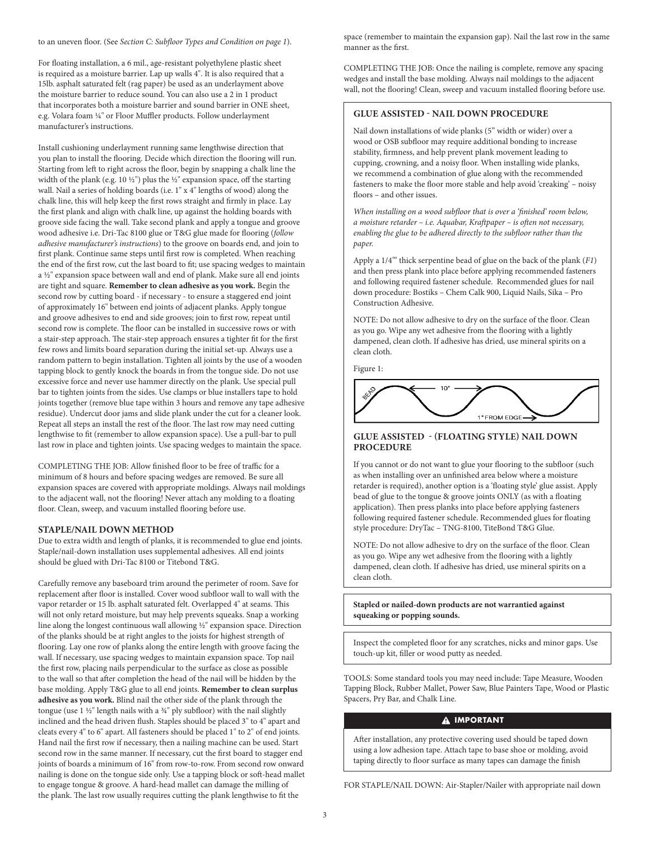#### to an uneven floor. (See *Section C: Subfloor Types and Condition on page 1*).

For floating installation, a 6 mil., age-resistant polyethylene plastic sheet is required as a moisture barrier. Lap up walls 4". It is also required that a 15lb. asphalt saturated felt (rag paper) be used as an underlayment above the moisture barrier to reduce sound. You can also use a 2 in 1 product that incorporates both a moisture barrier and sound barrier in ONE sheet, e.g. Volara foam 1/4" or Floor Muffler products. Follow underlayment manufacturer's instructions.

Install cushioning underlayment running same lengthwise direction that you plan to install the flooring. Decide which direction the flooring will run. Starting from left to right across the floor, begin by snapping a chalk line the width of the plank (e.g. 10  $\frac{1}{2}$ ") plus the  $\frac{1}{2}$ " expansion space, off the starting wall. Nail a series of holding boards (i.e. 1" x 4" lengths of wood) along the chalk line, this will help keep the first rows straight and firmly in place. Lay the first plank and align with chalk line, up against the holding boards with groove side facing the wall. Take second plank and apply a tongue and groove wood adhesive i.e. Dri-Tac 8100 glue or T&G glue made for flooring (*follow adhesive manufacturer's instructions*) to the groove on boards end, and join to first plank. Continue same steps until first row is completed. When reaching the end of the first row, cut the last board to fit; use spacing wedges to maintain a 1/2" expansion space between wall and end of plank. Make sure all end joints are tight and square. **Remember to clean adhesive as you work.** Begin the second row by cutting board - if necessary - to ensure a staggered end joint of approximately 16" between end joints of adjacent planks. Apply tongue and groove adhesives to end and side grooves; join to first row, repeat until second row is complete. The floor can be installed in successive rows or with a stair-step approach. The stair-step approach ensures a tighter fit for the first few rows and limits board separation during the initial set-up. Always use a random pattern to begin installation. Tighten all joints by the use of a wooden tapping block to gently knock the boards in from the tongue side. Do not use excessive force and never use hammer directly on the plank. Use special pull bar to tighten joints from the sides. Use clamps or blue installers tape to hold joints together (remove blue tape within 3 hours and remove any tape adhesive residue). Undercut door jams and slide plank under the cut for a cleaner look. Repeat all steps an install the rest of the floor. The last row may need cutting lengthwise to fit (remember to allow expansion space). Use a pull-bar to pull last row in place and tighten joints. Use spacing wedges to maintain the space.

COMPLETING THE JOB: Allow finished floor to be free of traffic for a minimum of 8 hours and before spacing wedges are removed. Be sure all expansion spaces are covered with appropriate moldings. Always nail moldings to the adjacent wall, not the flooring! Never attach any molding to a floating floor. Clean, sweep, and vacuum installed flooring before use.

#### **STAPLE/NAIL DOWN METHOD**

Due to extra width and length of planks, it is recommended to glue end joints. Staple/nail-down installation uses supplemental adhesives. All end joints should be glued with Dri-Tac 8100 or Titebond T&G.

Carefully remove any baseboard trim around the perimeter of room. Save for replacement after floor is installed. Cover wood subfloor wall to wall with the vapor retarder or 15 lb. asphalt saturated felt. Overlapped 4" at seams. This will not only retard moisture, but may help prevents squeaks. Snap a working line along the longest continuous wall allowing 1/2" expansion space. Direction of the planks should be at right angles to the joists for highest strength of flooring. Lay one row of planks along the entire length with groove facing the wall. If necessary, use spacing wedges to maintain expansion space. Top nail the first row, placing nails perpendicular to the surface as close as possible to the wall so that after completion the head of the nail will be hidden by the base molding. Apply T&G glue to all end joints. **Remember to clean surplus adhesive as you work.** Blind nail the other side of the plank through the tongue (use  $1 \frac{1}{2}$ " length nails with a  $\frac{3}{4}$ " ply subfloor) with the nail slightly inclined and the head driven flush. Staples should be placed 3" to 4" apart and cleats every 4" to 6" apart. All fasteners should be placed 1" to 2" of end joints. Hand nail the first row if necessary, then a nailing machine can be used. Start second row in the same manner. If necessary, cut the first board to stagger end joints of boards a minimum of 16" from row-to-row. From second row onward nailing is done on the tongue side only. Use a tapping block or soft-head mallet to engage tongue & groove. A hard-head mallet can damage the milling of the plank. The last row usually requires cutting the plank lengthwise to fit the

space (remember to maintain the expansion gap). Nail the last row in the same manner as the first.

COMPLETING THE JOB: Once the nailing is complete, remove any spacing wedges and install the base molding. Always nail moldings to the adjacent wall, not the flooring! Clean, sweep and vacuum installed flooring before use.

# **GLUE ASSISTED - NAIL DOWN PROCEDURE**

Nail down installations of wide planks (5" width or wider) over a wood or OSB subfloor may require additional bonding to increase stability, firmness, and help prevent plank movement leading to cupping, crowning, and a noisy floor. When installing wide planks, we recommend a combination of glue along with the recommended fasteners to make the floor more stable and help avoid 'creaking' – noisy floors – and other issues.

*When installing on a wood subfloor that is over a 'finished' room below, a moisture retarder – i.e. Aquabar, Kraftpaper – is often not necessary, enabling the glue to be adhered directly to the subfloor rather than the paper.* 

Apply a 1/4'" thick serpentine bead of glue on the back of the plank (*F1*) and then press plank into place before applying recommended fasteners and following required fastener schedule. Recommended glues for nail down procedure: Bostiks – Chem Calk 900, Liquid Nails, Sika – Pro Construction Adhesive.

NOTE: Do not allow adhesive to dry on the surface of the floor. Clean as you go. Wipe any wet adhesive from the flooring with a lightly dampened, clean cloth. If adhesive has dried, use mineral spirits on a clean cloth.

Figure 1:



### **GLUE ASSISTED - (FLOATING STYLE) NAIL DOWN PROCEDURE**

If you cannot or do not want to glue your flooring to the subfloor (such as when installing over an unfinished area below where a moisture retarder is required), another option is a 'floating style' glue assist. Apply bead of glue to the tongue & groove joints ONLY (as with a floating application). Then press planks into place before applying fasteners following required fastener schedule. Recommended glues for floating style procedure: DryTac – TNG-8100, TiteBond T&G Glue.

NOTE: Do not allow adhesive to dry on the surface of the floor. Clean as you go. Wipe any wet adhesive from the flooring with a lightly dampened, clean cloth. If adhesive has dried, use mineral spirits on a clean cloth.

**Stapled or nailed-down products are not warrantied against squeaking or popping sounds.**

Inspect the completed floor for any scratches, nicks and minor gaps. Use touch-up kit, filler or wood putty as needed.

TOOLS: Some standard tools you may need include: Tape Measure, Wooden Tapping Block, Rubber Mallet, Power Saw, Blue Painters Tape, Wood or Plastic Spacers, Pry Bar, and Chalk Line.

# **A IMPORTANT**

After installation, any protective covering used should be taped down using a low adhesion tape. Attach tape to base shoe or molding, avoid taping directly to floor surface as many tapes can damage the finish

FOR STAPLE/NAIL DOWN: Air-Stapler/Nailer with appropriate nail down